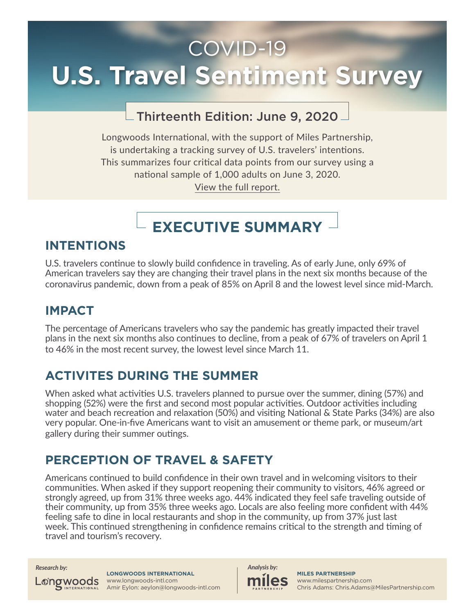# COVID-19 **U.S. Travel Sentiment Survey**

### Thirteenth Edition: June 9, 2020

Longwoods International, with the support of Miles Partnership, is undertaking a tracking survey of U.S. travelers' intentions. This summarizes four critical data points from our survey using a national sample of 1,000 adults on June 3, 2020. [View the full report.](https://longwoods-intl.com/news-press-release/covid-19-travel-sentiment-study-wave-13)

## **EXECUTIVE SUMMARY**

### **INTENTIONS**

U.S. travelers continue to slowly build confidence in traveling. As of early June, only 69% of American travelers say they are changing their travel plans in the next six months because of the coronavirus pandemic, down from a peak of 85% on April 8 and the lowest level since mid-March.

### **IMPACT**

The percentage of Americans travelers who say the pandemic has greatly impacted their travel plans in the next six months also continues to decline, from a peak of 67% of travelers on April 1 to 46% in the most recent survey, the lowest level since March 11.

### **ACTIVITES DURING THE SUMMER**

When asked what activities U.S. travelers planned to pursue over the summer, dining (57%) and shopping (52%) were the first and second most popular activities. Outdoor activities including water and beach recreation and relaxation (50%) and visiting National & State Parks (34%) are also very popular. One-in-five Americans want to visit an amusement or theme park, or museum/art gallery during their summer outings.

### **PERCEPTION OF TRAVEL & SAFETY**

Americans continued to build confidence in their own travel and in welcoming visitors to their communities. When asked if they support reopening their community to visitors, 46% agreed or strongly agreed, up from 31% three weeks ago. 44% indicated they feel safe traveling outside of their community, up from 35% three weeks ago. Locals are also feeling more confident with 44% feeling safe to dine in local restaurants and shop in the community, up from 37% just last week. This continued strengthening in confidence remains critical to the strength and timing of travel and tourism's recovery.

Longwoods

**LONGWOODS INTERNATIONAL**  www.longwoods-intl.com Amir Eylon: aeylon@longwoods-intl.com

*Research by: Analysis by:*

**MILES PARTNERSHIP** www.milespartnership.com Chris Adams: Chris.Adams@MilesPartnership.com